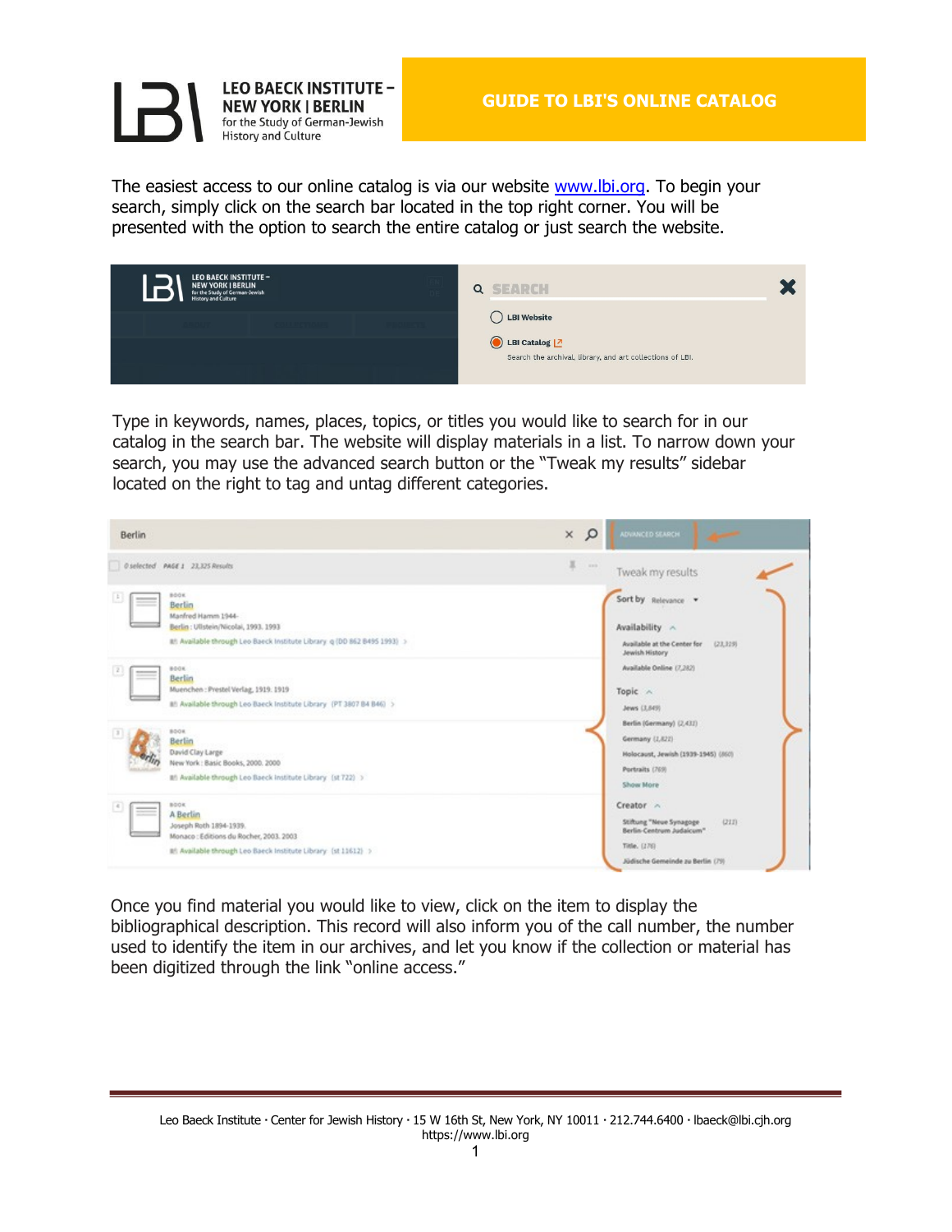

The easiest access to our online catalog is via our website [www.lbi.org.](https://www.lbi.org/) To begin your search, simply click on the search bar located in the top right corner. You will be presented with the option to search the entire catalog or just search the website.

| <b>LEO BAECK INSTITUTE -</b><br><b>NEW YORK   BERLIN</b><br>for the Study of German-Jewish<br>History and Culture | <b>SEARCH</b><br>$\alpha$                                                  |
|-------------------------------------------------------------------------------------------------------------------|----------------------------------------------------------------------------|
|                                                                                                                   | LBI Website                                                                |
|                                                                                                                   | LBI Catalog 2<br>Search the archival, library, and art collections of LBI. |

Type in keywords, names, places, topics, or titles you would like to search for in our catalog in the search bar. The website will display materials in a list. To narrow down your search, you may use the advanced search button or the "Tweak my results" sidebar located on the right to tag and untag different categories.



Once you find material you would like to view, click on the item to display the bibliographical description. This record will also inform you of the call number, the number used to identify the item in our archives, and let you know if the collection or material has been digitized through the link "online access."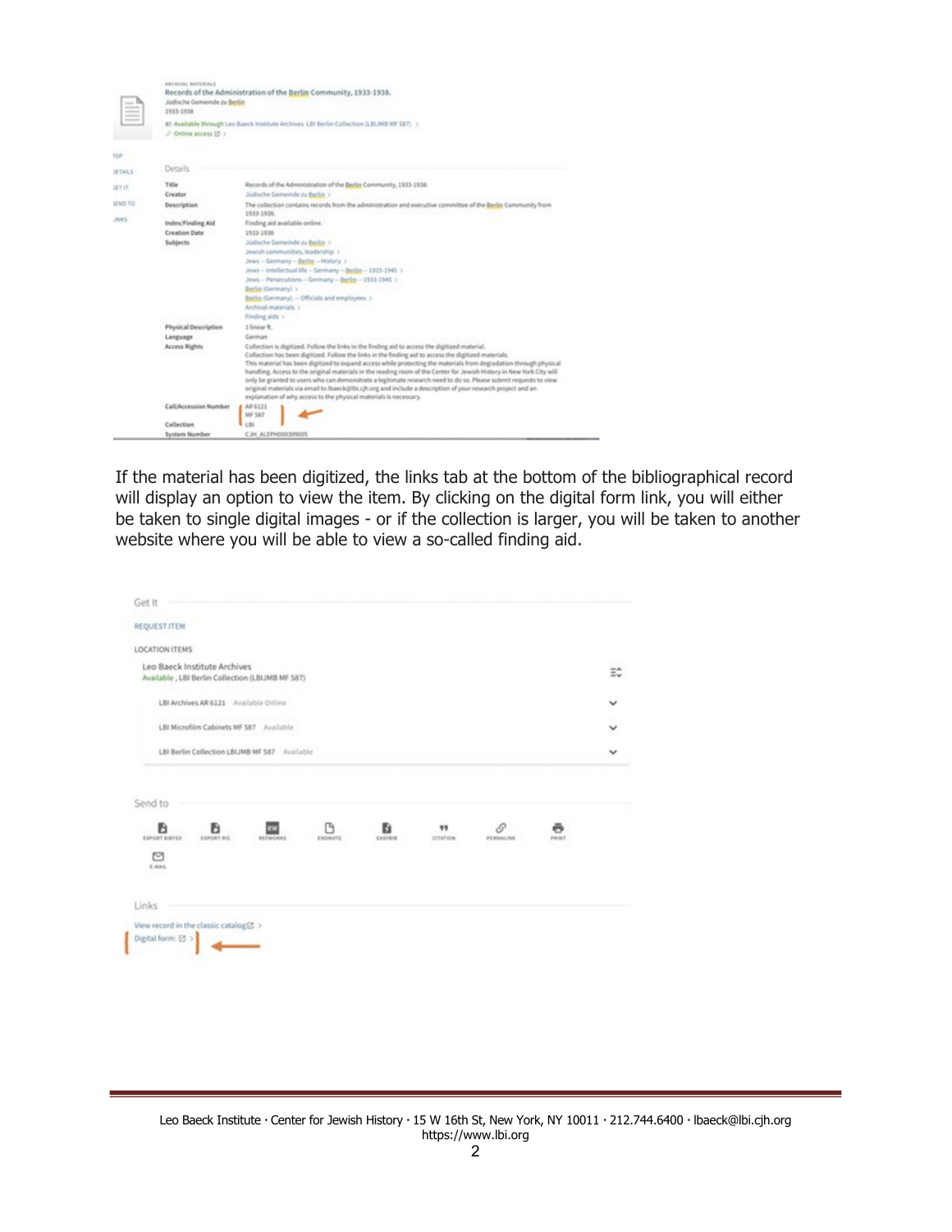|                | ARCHIVAL MAFERIALS<br>Jüdische Gemeinde zu Berlin<br>1933-1938 | Records of the Administration of the Berlin Community, 1933-1938.                                                                                                                                                                                                                                                                                                                                                                                                                                                                                                                                                                                                                                                                                               |
|----------------|----------------------------------------------------------------|-----------------------------------------------------------------------------------------------------------------------------------------------------------------------------------------------------------------------------------------------------------------------------------------------------------------------------------------------------------------------------------------------------------------------------------------------------------------------------------------------------------------------------------------------------------------------------------------------------------------------------------------------------------------------------------------------------------------------------------------------------------------|
|                | / Online access (2 >                                           | 81: Available through Leo Baeck Institute Archives: LBI Berlin Collection (LBIJMB MF 587) >                                                                                                                                                                                                                                                                                                                                                                                                                                                                                                                                                                                                                                                                     |
| top            |                                                                |                                                                                                                                                                                                                                                                                                                                                                                                                                                                                                                                                                                                                                                                                                                                                                 |
| <b>SETAILS</b> | Details                                                        |                                                                                                                                                                                                                                                                                                                                                                                                                                                                                                                                                                                                                                                                                                                                                                 |
| SET IT         | Title<br>Creator                                               | Records of the Administration of the Berlin Community, 1933-1938.<br>Jüdische Gemeinde zu Berlin >                                                                                                                                                                                                                                                                                                                                                                                                                                                                                                                                                                                                                                                              |
| LEND TO:       | <b>Description</b>                                             | The collection contains records from the administration and executive committee of the Bedin Community from<br>1933-1938.                                                                                                                                                                                                                                                                                                                                                                                                                                                                                                                                                                                                                                       |
| zucs.          | Index/Finding Aid                                              | Finding aid available online.                                                                                                                                                                                                                                                                                                                                                                                                                                                                                                                                                                                                                                                                                                                                   |
|                | <b>Creation Date</b>                                           | 1933-1938                                                                                                                                                                                                                                                                                                                                                                                                                                                                                                                                                                                                                                                                                                                                                       |
|                | Subjects                                                       | Júdische Gemeinde zu Berlin >                                                                                                                                                                                                                                                                                                                                                                                                                                                                                                                                                                                                                                                                                                                                   |
|                |                                                                | Jewish communities, leadership >                                                                                                                                                                                                                                                                                                                                                                                                                                                                                                                                                                                                                                                                                                                                |
|                |                                                                | Jews-Germany - Berlin - History >                                                                                                                                                                                                                                                                                                                                                                                                                                                                                                                                                                                                                                                                                                                               |
|                |                                                                | Jews -- Intellectual life -- Genmany -- Berlin -- 1913-1945 >                                                                                                                                                                                                                                                                                                                                                                                                                                                                                                                                                                                                                                                                                                   |
|                |                                                                | Jews -- Persecutions -- Germany -- Berlin -- 1933-1945 >                                                                                                                                                                                                                                                                                                                                                                                                                                                                                                                                                                                                                                                                                                        |
|                |                                                                | Berlin (Germany) >                                                                                                                                                                                                                                                                                                                                                                                                                                                                                                                                                                                                                                                                                                                                              |
|                |                                                                | Berlin (Germany). - Officials and employees 3                                                                                                                                                                                                                                                                                                                                                                                                                                                                                                                                                                                                                                                                                                                   |
|                |                                                                | Archival materials 5                                                                                                                                                                                                                                                                                                                                                                                                                                                                                                                                                                                                                                                                                                                                            |
|                |                                                                | Finding July 3                                                                                                                                                                                                                                                                                                                                                                                                                                                                                                                                                                                                                                                                                                                                                  |
|                | Physical Description                                           | 1 linear R.                                                                                                                                                                                                                                                                                                                                                                                                                                                                                                                                                                                                                                                                                                                                                     |
|                | Language                                                       | Corman                                                                                                                                                                                                                                                                                                                                                                                                                                                                                                                                                                                                                                                                                                                                                          |
|                | Access Rights                                                  | Collection is digitized. Follow the links in the finding aid to access the digitized material.<br>Collection has been digitized. Follow the links in the finding aid to access the digitized materials.<br>This material has been digitized to expand access while protecting the materials from degradation through physical<br>handling. Access to the original materials in the reading room of the Center for Jewish History in New York City will<br>only be granted to users who can demonstrate a legitimate research need to do so. Please submit requests to view<br>original materials via email to Ibaeck@Ibi.cjh.org and include a description of your research project and an<br>explanation of why access to the physical materials is necessary. |
|                | <b>Call/Accession Number</b>                                   | AR 6321<br>MF S&T                                                                                                                                                                                                                                                                                                                                                                                                                                                                                                                                                                                                                                                                                                                                               |
|                | Collection                                                     | 18                                                                                                                                                                                                                                                                                                                                                                                                                                                                                                                                                                                                                                                                                                                                                              |
|                | System Number                                                  | C.IH ALEPH000399005                                                                                                                                                                                                                                                                                                                                                                                                                                                                                                                                                                                                                                                                                                                                             |

If the material has been digitized, the links tab at the bottom of the bibliographical record will display an option to view the item. By clicking on the digital form link, you will either be taken to single digital images - or if the collection is larger, you will be taken to another website where you will be able to view a so-called finding aid.

| REQUEST ITEM                                                                     |                  |               |              |                |                |            |    |
|----------------------------------------------------------------------------------|------------------|---------------|--------------|----------------|----------------|------------|----|
| LOCATION ITEMS                                                                   |                  |               |              |                |                |            |    |
| Leo Baeck Institute Archives<br>Available, LBI Berlin Collection (LBIJMB MF 587) |                  |               |              |                |                |            | Ξ¢ |
| LBI Archives AR 6121 Available Online                                            |                  |               |              |                |                |            | v  |
| LBI Microfilm Cabinets MF 587 Available                                          |                  |               |              |                |                |            |    |
| LBI Berlin Collection LBLIMB MF 587 Available                                    |                  |               |              |                |                |            |    |
|                                                                                  |                  |               |              |                |                |            |    |
| Send to<br>ħ<br>B<br>EXPORT BIBTEX<br>EXPORT RIS<br>⊡<br>E-MAIL                  | Ev.<br>REFINORAS | Γ۹<br>ENDNOTE | ħ<br>EASHBIB | 99<br>CITATION | P<br>PERMALINK | ē<br>PRINT |    |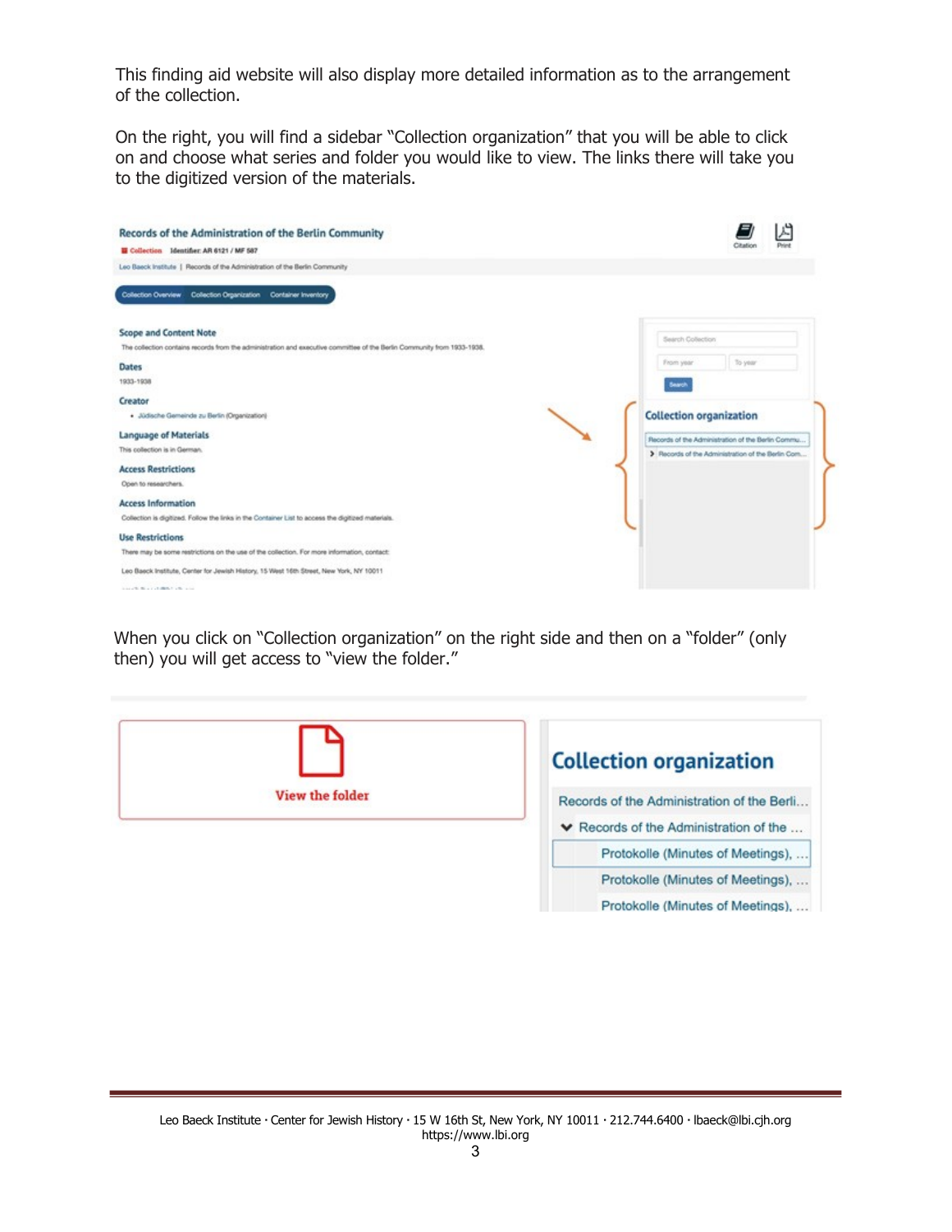This finding aid website will also display more detailed information as to the arrangement of the collection.

On the right, you will find a sidebar "Collection organization" that you will be able to click on and choose what series and folder you would like to view. The links there will take you to the digitized version of the materials.

| Records of the Administration of the Berlin Community                                                                   |                                                   |          |  |  |
|-------------------------------------------------------------------------------------------------------------------------|---------------------------------------------------|----------|--|--|
| Gollection Identifier: AR 6121 / MF 587                                                                                 |                                                   | Citation |  |  |
| Leo Baeck Institute   Records of the Administration of the Berlin Community                                             |                                                   |          |  |  |
| Collection Overview Collection Organization Container Inventory                                                         |                                                   |          |  |  |
| <b>Scope and Content Note</b>                                                                                           | Search Collection                                 |          |  |  |
| The collection contains records from the administration and executive committee of the Berlin Community from 1933-1938. | From year                                         | To year  |  |  |
| <b>Dates</b>                                                                                                            |                                                   |          |  |  |
| 1933-1938                                                                                                               | Search                                            |          |  |  |
| Creator                                                                                                                 |                                                   |          |  |  |
| · Jüdische Gemeinde zu Berlin (Organization)                                                                            | <b>Collection organization</b>                    |          |  |  |
| <b>Language of Materials</b>                                                                                            | Records of the Administration of the Berlin Commu |          |  |  |
| This collection is in German.                                                                                           | > Records of the Administration of the Berlin Com |          |  |  |
| <b>Access Restrictions</b>                                                                                              |                                                   |          |  |  |
| Open to researchers.                                                                                                    |                                                   |          |  |  |
| <b>Access Information</b>                                                                                               |                                                   |          |  |  |
| Collection is digitized. Follow the links in the Container List to access the digitized materials.                      |                                                   |          |  |  |
| <b>Use Restrictions</b>                                                                                                 |                                                   |          |  |  |
| There may be some restrictions on the use of the collection. For more information, contact:                             |                                                   |          |  |  |
| Leo Baeck Institute, Center for Jewish History, 15 West 16th Street, New York, NY 10011                                 |                                                   |          |  |  |
| three of the Minimum of Alberta Controller, which                                                                       |                                                   |          |  |  |

When you click on "Collection organization" on the right side and then on a "folder" (only then) you will get access to "view the folder."